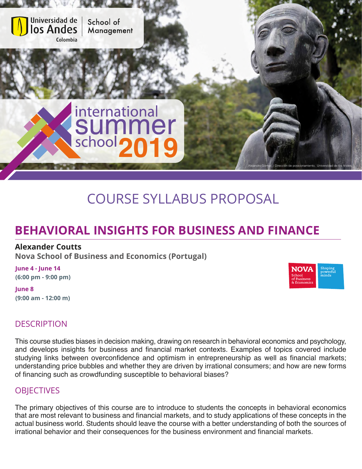

# COURSE SYLLABUS PROPOSAL

# **BEHAVIORAL INSIGHTS FOR BUSINESS AND FINANCE**

#### **Alexander Coutts**

**Nova School of Business and Economics (Portugal)**

**June 4 - June 14 (6:00 pm - 9:00 pm)**

**June 8 (9:00 am - 12:00 m)**

## **DESCRIPTION**

This course studies biases in decision making, drawing on research in behavioral economics and psychology, and develops insights for business and financial market contexts. Examples of topics covered include studying links between overconfidence and optimism in entrepreneurship as well as financial markets; understanding price bubbles and whether they are driven by irrational consumers; and how are new forms of financing such as crowdfunding susceptible to behavioral biases?

## **OBJECTIVES**

The primary objectives of this course are to introduce to students the concepts in behavioral economics that are most relevant to business and financial markets, and to study applications of these concepts in the actual business world. Students should leave the course with a better understanding of both the sources of irrational behavior and their consequences for the business environment and financial markets.